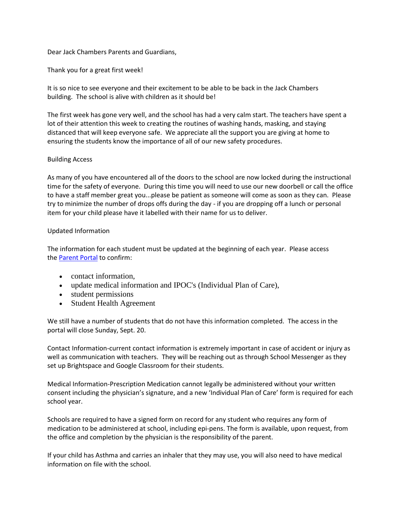## Dear Jack Chambers Parents and Guardians,

Thank you for a great first week!

It is so nice to see everyone and their excitement to be able to be back in the Jack Chambers building. The school is alive with children as it should be!

The first week has gone very well, and the school has had a very calm start. The teachers have spent a lot of their attention this week to creating the routines of washing hands, masking, and staying distanced that will keep everyone safe. We appreciate all the support you are giving at home to ensuring the students know the importance of all of our new safety procedures.

# Building Access

As many of you have encountered all of the doors to the school are now locked during the instructional time for the safety of everyone. During this time you will need to use our new doorbell or call the office to have a staff member great you...please be patient as someone will come as soon as they can. Please try to minimize the number of drops offs during the day - if you are dropping off a lunch or personal item for your child please have it labelled with their name for us to deliver.

# Updated Information

The information for each student must be updated at the beginning of each year. Please access the [Parent Portal](http://track.spe.schoolmessenger.com/f/a/ju3QCEG86-5V4BFlAn1www~~/AAAAAQA~/RgRhRkZbP0QzaHR0cHM6Ly9zY2hvb2xhcHBzMi50dmRzYi5jYS9wYXJlbnRzL3R2ZHNiX3BhcmVudHMvVwdzY2hvb2xtQgoAR9sSZV8Wb5p3Uh5BbGxTdGFmZi1KYWNrQ2hhbWJlcnNAdHZkc2IuY2FYBAAAAAI~) to confirm:

- contact information,
- update medical information and IPOC's (Individual Plan of Care),
- student permissions
- Student Health Agreement

We still have a number of students that do not have this information completed. The access in the portal will close Sunday, Sept. 20.

Contact Information-current contact information is extremely important in case of accident or injury as well as communication with teachers. They will be reaching out as through School Messenger as they set up Brightspace and Google Classroom for their students.

Medical Information-Prescription Medication cannot legally be administered without your written consent including the physician's signature, and a new 'Individual Plan of Care' form is required for each school year.

Schools are required to have a signed form on record for any student who requires any form of medication to be administered at school, including epi-pens. The form is available, upon request, from the office and completion by the physician is the responsibility of the parent.

If your child has Asthma and carries an inhaler that they may use, you will also need to have medical information on file with the school.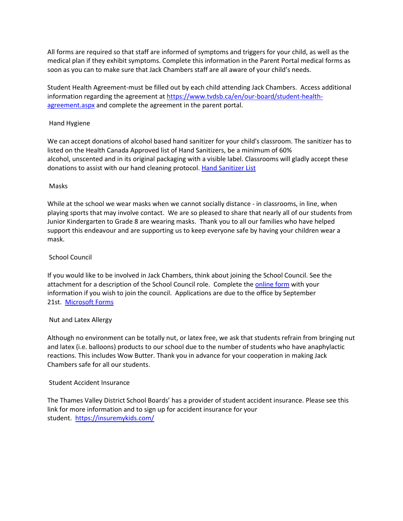All forms are required so that staff are informed of symptoms and triggers for your child, as well as the medical plan if they exhibit symptoms. Complete this information in the Parent Portal medical forms as soon as you can to make sure that Jack Chambers staff are all aware of your child's needs.

Student Health Agreement-must be filled out by each child attending Jack Chambers. Access additional information regarding the agreement at [https://www.tvdsb.ca/en/our-board/student-health](http://track.spe.schoolmessenger.com/f/a/iLLFZ_8B-kPIKR5V18BtQg~~/AAAAAQA~/RgRhRkZbP0Q_aHR0cHM6Ly93d3cudHZkc2IuY2EvZW4vb3VyLWJvYXJkL3N0dWRlbnQtaGVhbHRoLWFncmVlbWVudC5hc3B4VwdzY2hvb2xtQgoAR9sSZV8Wb5p3Uh5BbGxTdGFmZi1KYWNrQ2hhbWJlcnNAdHZkc2IuY2FYBAAAAAI~)[agreement.aspx](http://track.spe.schoolmessenger.com/f/a/iLLFZ_8B-kPIKR5V18BtQg~~/AAAAAQA~/RgRhRkZbP0Q_aHR0cHM6Ly93d3cudHZkc2IuY2EvZW4vb3VyLWJvYXJkL3N0dWRlbnQtaGVhbHRoLWFncmVlbWVudC5hc3B4VwdzY2hvb2xtQgoAR9sSZV8Wb5p3Uh5BbGxTdGFmZi1KYWNrQ2hhbWJlcnNAdHZkc2IuY2FYBAAAAAI~) and complete the agreement in the parent portal.

## Hand Hygiene

We can accept donations of alcohol based hand sanitizer for your child's classroom. The sanitizer has to listed on the Health Canada Approved list of Hand Sanitizers, be a minimum of 60% alcohol, unscented and in its original packaging with a visible label. Classrooms will gladly accept these donations to assist with our hand cleaning protocol. [Hand Sanitizer List](http://track.spe.schoolmessenger.com/f/a/0rXIbkRv5LQbVYvdoWbIWg~~/AAAAAQA~/RgRhRkZbP0R0aHR0cDovL3d3dy5jYW5hZGEuY2EvZW4vaGVhbHRoLWNhbmFkYS9zZXJ2aWNlcy9kcnVncy1oZWFsdGgtcHJvZHVjdHMvZGlzaW5mZWN0YW50cy9jb3ZpZC0xOS9oYW5kLXNhbml0aXplci5odG1sI3RibDFXB3NjaG9vbG1CCgBH2xJlXxZvmndSHkFsbFN0YWZmLUphY2tDaGFtYmVyc0B0dmRzYi5jYVgEAAAAAg~~)

### Masks

While at the school we wear masks when we cannot socially distance - in classrooms, in line, when playing sports that may involve contact. We are so pleased to share that nearly all of our students from Junior Kindergarten to Grade 8 are wearing masks. Thank you to all our families who have helped support this endeavour and are supporting us to keep everyone safe by having your children wear a mask.

### School Council

If you would like to be involved in Jack Chambers, think about joining the School Council. See the attachment for a description of the School Council role. Complete the [online form](http://track.spe.schoolmessenger.com/f/a/6naEpa3a6zaL97_4p5bNvg~~/AAAAAQA~/RgRhRkZbP0SEaHR0cHM6Ly9mb3Jtcy5vZmZpY2UuY29tL1BhZ2VzL1Jlc3BvbnNlUGFnZS5hc3B4P2lkPTFzVWtJTlctQlVlWXJQZy1aS2VPbVdlSE9NckhZMFpJa1JMNUVJb0ZMSEpVTkVnM01sWlNWVGs1TWxCQlEwNHhXbHBYU1RoRk0wVlROUzR1VwdzY2hvb2xtQgoAR9sSZV8Wb5p3Uh5BbGxTdGFmZi1KYWNrQ2hhbWJlcnNAdHZkc2IuY2FYBAAAAAI~) with your information if you wish to join the council. Applications are due to the office by September 21st. [Microsoft Forms](http://track.spe.schoolmessenger.com/f/a/6naEpa3a6zaL97_4p5bNvg~~/AAAAAQA~/RgRhRkZbP0SEaHR0cHM6Ly9mb3Jtcy5vZmZpY2UuY29tL1BhZ2VzL1Jlc3BvbnNlUGFnZS5hc3B4P2lkPTFzVWtJTlctQlVlWXJQZy1aS2VPbVdlSE9NckhZMFpJa1JMNUVJb0ZMSEpVTkVnM01sWlNWVGs1TWxCQlEwNHhXbHBYU1RoRk0wVlROUzR1VwdzY2hvb2xtQgoAR9sSZV8Wb5p3Uh5BbGxTdGFmZi1KYWNrQ2hhbWJlcnNAdHZkc2IuY2FYBAAAAAI~)

#### Nut and Latex Allergy

Although no environment can be totally nut, or latex free, we ask that students refrain from bringing nut and latex (i.e. balloons) products to our school due to the number of students who have anaphylactic reactions. This includes Wow Butter. Thank you in advance for your cooperation in making Jack Chambers safe for all our students.

#### Student Accident Insurance

The Thames Valley District School Boards' has a provider of student accident insurance. Please see this link for more information and to sign up for accident insurance for your student. <https://insuremykids.com/>